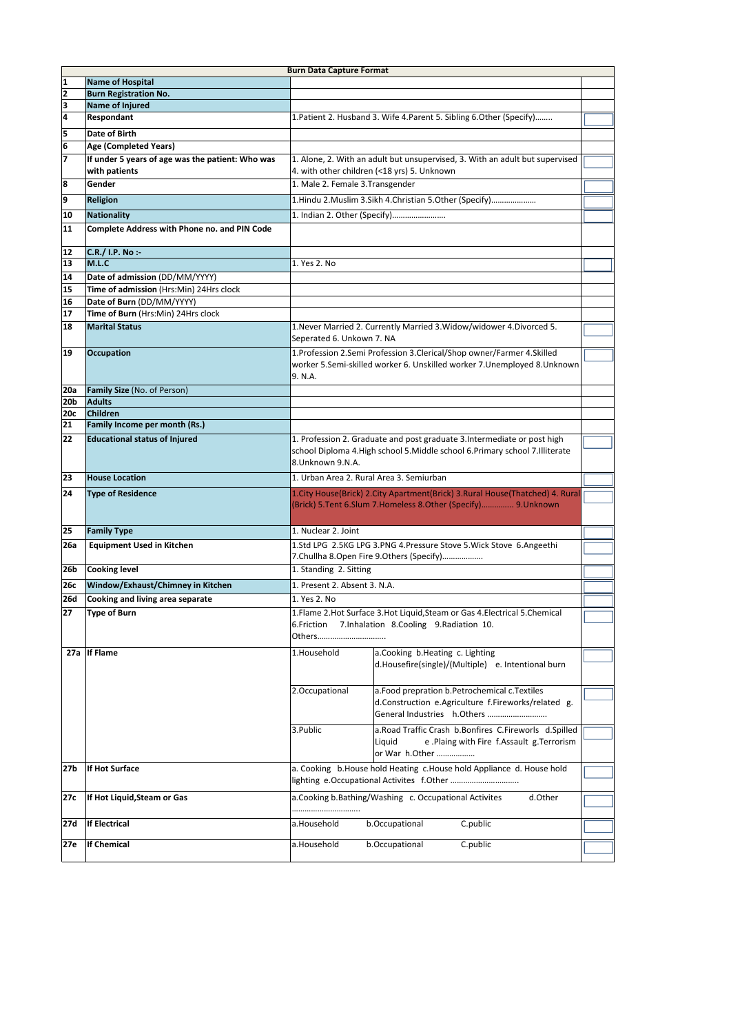| <b>Burn Data Capture Format</b> |                                                  |                                                                              |                                                                                    |  |  |  |  |  |  |  |
|---------------------------------|--------------------------------------------------|------------------------------------------------------------------------------|------------------------------------------------------------------------------------|--|--|--|--|--|--|--|
| $\mathbf{1}$                    | <b>Name of Hospital</b>                          |                                                                              |                                                                                    |  |  |  |  |  |  |  |
| 2                               | <b>Burn Registration No.</b>                     |                                                                              |                                                                                    |  |  |  |  |  |  |  |
| 3                               | Name of Injured                                  |                                                                              |                                                                                    |  |  |  |  |  |  |  |
| 4                               | Respondant                                       | 1. Patient 2. Husband 3. Wife 4. Parent 5. Sibling 6. Other (Specify)        |                                                                                    |  |  |  |  |  |  |  |
| 5                               | Date of Birth                                    |                                                                              |                                                                                    |  |  |  |  |  |  |  |
| 6                               | Age (Completed Years)                            |                                                                              |                                                                                    |  |  |  |  |  |  |  |
| $\overline{7}$                  | If under 5 years of age was the patient: Who was | 1. Alone, 2. With an adult but unsupervised, 3. With an adult but supervised |                                                                                    |  |  |  |  |  |  |  |
|                                 | with patients                                    | 4. with other children (<18 yrs) 5. Unknown                                  |                                                                                    |  |  |  |  |  |  |  |
| 8                               | Gender                                           | 1. Male 2. Female 3. Transgender                                             |                                                                                    |  |  |  |  |  |  |  |
| 9                               | <b>Religion</b>                                  | 1. Hindu 2. Muslim 3. Sikh 4. Christian 5. Other (Specify)                   |                                                                                    |  |  |  |  |  |  |  |
|                                 |                                                  |                                                                              |                                                                                    |  |  |  |  |  |  |  |
| 10                              | <b>Nationality</b>                               |                                                                              | 1. Indian 2. Other (Specify)                                                       |  |  |  |  |  |  |  |
| 11                              | Complete Address with Phone no. and PIN Code     |                                                                              |                                                                                    |  |  |  |  |  |  |  |
|                                 | C.R./ I.P. No :-                                 |                                                                              |                                                                                    |  |  |  |  |  |  |  |
| 12<br>13                        | M.L.C                                            | 1. Yes 2. No                                                                 |                                                                                    |  |  |  |  |  |  |  |
|                                 |                                                  |                                                                              |                                                                                    |  |  |  |  |  |  |  |
| 14                              | Date of admission (DD/MM/YYYY)                   |                                                                              |                                                                                    |  |  |  |  |  |  |  |
| 15                              | Time of admission (Hrs:Min) 24Hrs clock          |                                                                              |                                                                                    |  |  |  |  |  |  |  |
| 16                              | Date of Burn (DD/MM/YYYY)                        |                                                                              |                                                                                    |  |  |  |  |  |  |  |
| 17                              | Time of Burn (Hrs:Min) 24Hrs clock               |                                                                              |                                                                                    |  |  |  |  |  |  |  |
| 18                              | <b>Marital Status</b>                            | 1. Never Married 2. Currently Married 3. Widow/widower 4. Divorced 5.        |                                                                                    |  |  |  |  |  |  |  |
|                                 |                                                  | Seperated 6. Unkown 7. NA                                                    |                                                                                    |  |  |  |  |  |  |  |
| 19                              | Occupation                                       | 1. Profession 2. Semi Profession 3. Clerical/Shop owner/Farmer 4. Skilled    |                                                                                    |  |  |  |  |  |  |  |
|                                 |                                                  |                                                                              | worker 5.Semi-skilled worker 6. Unskilled worker 7.Unemployed 8.Unknown            |  |  |  |  |  |  |  |
|                                 |                                                  | 9. N.A.                                                                      |                                                                                    |  |  |  |  |  |  |  |
| <b>20a</b>                      | Family Size (No. of Person)                      |                                                                              |                                                                                    |  |  |  |  |  |  |  |
| 20b                             | <b>Adults</b>                                    |                                                                              |                                                                                    |  |  |  |  |  |  |  |
| 20с                             | <b>Children</b>                                  |                                                                              |                                                                                    |  |  |  |  |  |  |  |
| 21                              | Family Income per month (Rs.)                    |                                                                              |                                                                                    |  |  |  |  |  |  |  |
| 22                              | <b>Educational status of Injured</b>             |                                                                              | 1. Profession 2. Graduate and post graduate 3. Intermediate or post high           |  |  |  |  |  |  |  |
|                                 |                                                  |                                                                              | school Diploma 4.High school 5.Middle school 6.Primary school 7.Illiterate         |  |  |  |  |  |  |  |
|                                 |                                                  |                                                                              | 8.Unknown 9.N.A.                                                                   |  |  |  |  |  |  |  |
| 23                              | <b>House Location</b>                            | 1. Urban Area 2. Rural Area 3. Semiurban                                     |                                                                                    |  |  |  |  |  |  |  |
| 24                              | <b>Type of Residence</b>                         |                                                                              | 1. City House (Brick) 2. City Apartment (Brick) 3. Rural House (Thatched) 4. Rural |  |  |  |  |  |  |  |
|                                 |                                                  |                                                                              | (Brick) 5.Tent 6.Slum 7.Homeless 8.Other (Specify) 9.Unknown                       |  |  |  |  |  |  |  |
|                                 |                                                  |                                                                              |                                                                                    |  |  |  |  |  |  |  |
| 25                              | <b>Family Type</b>                               | 1. Nuclear 2. Joint                                                          |                                                                                    |  |  |  |  |  |  |  |
| 26a                             | <b>Equipment Used in Kitchen</b>                 |                                                                              | 1.Std LPG 2.5KG LPG 3.PNG 4.Pressure Stove 5. Wick Stove 6. Angeethi               |  |  |  |  |  |  |  |
|                                 |                                                  |                                                                              |                                                                                    |  |  |  |  |  |  |  |
| 26b                             | <b>Cooking level</b>                             | 7. Chullha 8. Open Fire 9. Others (Specify)<br>1. Standing 2. Sitting        |                                                                                    |  |  |  |  |  |  |  |
|                                 |                                                  |                                                                              |                                                                                    |  |  |  |  |  |  |  |
| 26с                             | Window/Exhaust/Chimney in Kitchen                | 1. Present 2. Absent 3. N.A.                                                 |                                                                                    |  |  |  |  |  |  |  |
| <b>26d</b>                      | Cooking and living area separate                 | 1. Yes 2. No                                                                 |                                                                                    |  |  |  |  |  |  |  |
| 27                              | <b>Type of Burn</b>                              |                                                                              | 1. Flame 2. Hot Surface 3. Hot Liquid, Steam or Gas 4. Electrical 5. Chemical      |  |  |  |  |  |  |  |
|                                 |                                                  | 6.Friction                                                                   | 7. Inhalation 8. Cooling 9. Radiation 10.                                          |  |  |  |  |  |  |  |
|                                 |                                                  | Others                                                                       |                                                                                    |  |  |  |  |  |  |  |
|                                 | 27a If Flame                                     | 1.Household                                                                  | a.Cooking b.Heating c. Lighting                                                    |  |  |  |  |  |  |  |
|                                 |                                                  |                                                                              | d.Housefire(single)/(Multiple) e. Intentional burn                                 |  |  |  |  |  |  |  |
|                                 |                                                  |                                                                              |                                                                                    |  |  |  |  |  |  |  |
|                                 |                                                  | 2.Occupational                                                               | a. Food prepration b. Petrochemical c. Textiles                                    |  |  |  |  |  |  |  |
|                                 |                                                  |                                                                              | d.Construction e.Agriculture f.Fireworks/related g.                                |  |  |  |  |  |  |  |
|                                 |                                                  |                                                                              |                                                                                    |  |  |  |  |  |  |  |
|                                 |                                                  | 3.Public                                                                     | a.Road Traffic Crash b.Bonfires C.Fireworls d.Spilled                              |  |  |  |  |  |  |  |
|                                 |                                                  |                                                                              | Liquid<br>e.Plaing with Fire f.Assault g.Terrorism                                 |  |  |  |  |  |  |  |
|                                 |                                                  |                                                                              | or War h.Other                                                                     |  |  |  |  |  |  |  |
|                                 |                                                  |                                                                              |                                                                                    |  |  |  |  |  |  |  |
| 27 <sub>b</sub>                 | If Hot Surface                                   |                                                                              | a. Cooking b. House hold Heating c. House hold Appliance d. House hold             |  |  |  |  |  |  |  |
|                                 |                                                  |                                                                              |                                                                                    |  |  |  |  |  |  |  |
| 27c                             | If Hot Liquid, Steam or Gas                      | a.Cooking b.Bathing/Washing c. Occupational Activites<br>d.Other             |                                                                                    |  |  |  |  |  |  |  |
|                                 |                                                  |                                                                              |                                                                                    |  |  |  |  |  |  |  |
| 27d                             | <b>If Electrical</b>                             | b.Occupational<br>C.public<br>a.Household                                    |                                                                                    |  |  |  |  |  |  |  |
|                                 |                                                  |                                                                              |                                                                                    |  |  |  |  |  |  |  |
| 27e                             | <b>If Chemical</b>                               | a.Household                                                                  | b.Occupational<br>C.public                                                         |  |  |  |  |  |  |  |
|                                 |                                                  |                                                                              |                                                                                    |  |  |  |  |  |  |  |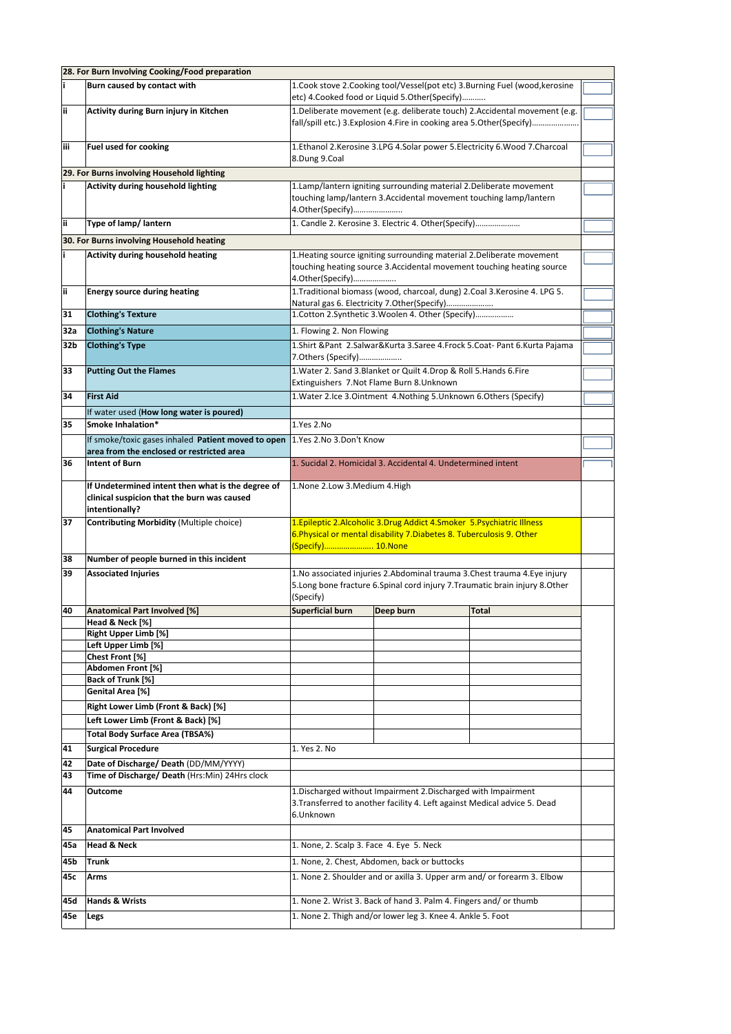|          | 28. For Burn Involving Cooking/Food preparation                                                                    |                                                                                                                                                                            |           |       |  |  |  |
|----------|--------------------------------------------------------------------------------------------------------------------|----------------------------------------------------------------------------------------------------------------------------------------------------------------------------|-----------|-------|--|--|--|
| i.       | Burn caused by contact with                                                                                        | 1. Cook stove 2. Cooking tool/Vessel(pot etc) 3. Burning Fuel (wood, kerosine<br>etc) 4.Cooked food or Liquid 5.Other(Specify)                                             |           |       |  |  |  |
| ii.      | Activity during Burn injury in Kitchen                                                                             | 1. Deliberate movement (e.g. deliberate touch) 2. Accidental movement (e.g.<br>fall/spill etc.) 3. Explosion 4. Fire in cooking area 5. Other(Specify)                     |           |       |  |  |  |
| iίi      | Fuel used for cooking                                                                                              | 1. Ethanol 2. Kerosine 3. LPG 4. Solar power 5. Electricity 6. Wood 7. Charcoal<br>8.Dung 9.Coal                                                                           |           |       |  |  |  |
|          | 29. For Burns involving Household lighting                                                                         |                                                                                                                                                                            |           |       |  |  |  |
| i.       | Activity during household lighting                                                                                 | 1.Lamp/lantern igniting surrounding material 2.Deliberate movement<br>touching lamp/lantern 3.Accidental movement touching lamp/lantern<br>4. Other (Specify)              |           |       |  |  |  |
| ii       | Type of lamp/ lantern<br>1. Candle 2. Kerosine 3. Electric 4. Other(Specify)                                       |                                                                                                                                                                            |           |       |  |  |  |
|          | 30. For Burns involving Household heating                                                                          |                                                                                                                                                                            |           |       |  |  |  |
| Î.       | <b>Activity during household heating</b>                                                                           | 1. Heating source igniting surrounding material 2. Deliberate movement<br>touching heating source 3.Accidental movement touching heating source<br>4.Other(Specify)        |           |       |  |  |  |
| ij.      | <b>Energy source during heating</b>                                                                                | 1. Traditional biomass (wood, charcoal, dung) 2. Coal 3. Kerosine 4. LPG 5.<br>Natural gas 6. Electricity 7.Other(Specify)                                                 |           |       |  |  |  |
| 31       | <b>Clothing's Texture</b>                                                                                          | 1. Cotton 2. Synthetic 3. Woolen 4. Other (Specify)                                                                                                                        |           |       |  |  |  |
| 32a      | <b>Clothing's Nature</b>                                                                                           | 1. Flowing 2. Non Flowing                                                                                                                                                  |           |       |  |  |  |
| 32b      | <b>Clothing's Type</b>                                                                                             | 1.Shirt &Pant 2.Salwar&Kurta 3.Saree 4.Frock 5.Coat-Pant 6.Kurta Pajama<br>7.Others (Specify)                                                                              |           |       |  |  |  |
| 33       | <b>Putting Out the Flames</b>                                                                                      | 1. Water 2. Sand 3. Blanket or Quilt 4. Drop & Roll 5. Hands 6. Fire<br>Extinguishers 7.Not Flame Burn 8.Unknown                                                           |           |       |  |  |  |
| 34       | <b>First Aid</b>                                                                                                   | 1. Water 2. Ice 3. Ointment 4. Nothing 5. Unknown 6. Others (Specify)                                                                                                      |           |       |  |  |  |
|          | If water used (How long water is poured)                                                                           |                                                                                                                                                                            |           |       |  |  |  |
| 35       | Smoke Inhalation*                                                                                                  | 1.Yes 2.No                                                                                                                                                                 |           |       |  |  |  |
|          | If smoke/toxic gases inhaled Patient moved to open<br>area from the enclosed or restricted area                    | 1.Yes 2.No 3.Don't Know                                                                                                                                                    |           |       |  |  |  |
| 36       | <b>Intent of Burn</b>                                                                                              | 1. Sucidal 2. Homicidal 3. Accidental 4. Undetermined intent                                                                                                               |           |       |  |  |  |
|          | If Undetermined intent then what is the degree of<br>clinical suspicion that the burn was caused<br>intentionally? | 1.None 2.Low 3.Medium 4.High                                                                                                                                               |           |       |  |  |  |
| 37       | <b>Contributing Morbidity (Multiple choice)</b>                                                                    | 1. Epileptic 2. Alcoholic 3. Drug Addict 4. Smoker 5. Psychiatric Illness<br>6. Physical or mental disability 7. Diabetes 8. Tuberculosis 9. Other<br>(Specify) 10.None    |           |       |  |  |  |
| 38       | Number of people burned in this incident                                                                           |                                                                                                                                                                            |           |       |  |  |  |
| 39       | <b>Associated Injuries</b>                                                                                         | 1. No associated injuries 2. Abdominal trauma 3. Chest trauma 4. Eye injury<br>5. Long bone fracture 6. Spinal cord injury 7. Traumatic brain injury 8. Other<br>(Specify) |           |       |  |  |  |
| 40       | <b>Anatomical Part Involved [%]</b>                                                                                | Superficial burn                                                                                                                                                           | Deep burn | Total |  |  |  |
|          | Head & Neck [%]<br><b>Right Upper Limb [%]</b>                                                                     |                                                                                                                                                                            |           |       |  |  |  |
|          | Left Upper Limb [%]                                                                                                |                                                                                                                                                                            |           |       |  |  |  |
|          | Chest Front [%]                                                                                                    |                                                                                                                                                                            |           |       |  |  |  |
|          | Abdomen Front [%]                                                                                                  |                                                                                                                                                                            |           |       |  |  |  |
|          | Back of Trunk [%]                                                                                                  |                                                                                                                                                                            |           |       |  |  |  |
|          | Genital Area [%]                                                                                                   |                                                                                                                                                                            |           |       |  |  |  |
|          | Right Lower Limb (Front & Back) [%]                                                                                |                                                                                                                                                                            |           |       |  |  |  |
|          | Left Lower Limb (Front & Back) [%]                                                                                 |                                                                                                                                                                            |           |       |  |  |  |
|          | <b>Total Body Surface Area (TBSA%)</b>                                                                             |                                                                                                                                                                            |           |       |  |  |  |
| 41       | <b>Surgical Procedure</b>                                                                                          | 1. Yes 2. No                                                                                                                                                               |           |       |  |  |  |
| 42<br>43 | Date of Discharge/ Death (DD/MM/YYYY)<br>Time of Discharge/ Death (Hrs:Min) 24Hrs clock                            |                                                                                                                                                                            |           |       |  |  |  |
|          |                                                                                                                    |                                                                                                                                                                            |           |       |  |  |  |
| 44       | Outcome                                                                                                            | 1. Discharged without Impairment 2. Discharged with Impairment<br>3. Transferred to another facility 4. Left against Medical advice 5. Dead<br>6.Unknown                   |           |       |  |  |  |
| 45       | <b>Anatomical Part Involved</b>                                                                                    |                                                                                                                                                                            |           |       |  |  |  |
| 45a      | <b>Head &amp; Neck</b>                                                                                             | 1. None, 2. Scalp 3. Face 4. Eye 5. Neck                                                                                                                                   |           |       |  |  |  |
| 45b      | <b>Trunk</b>                                                                                                       | 1. None, 2. Chest, Abdomen, back or buttocks                                                                                                                               |           |       |  |  |  |
| 45с      | Arms                                                                                                               | 1. None 2. Shoulder and or axilla 3. Upper arm and/ or forearm 3. Elbow                                                                                                    |           |       |  |  |  |
| 45d      | <b>Hands &amp; Wrists</b>                                                                                          | 1. None 2. Wrist 3. Back of hand 3. Palm 4. Fingers and/or thumb                                                                                                           |           |       |  |  |  |
| 45e      | Legs                                                                                                               | 1. None 2. Thigh and/or lower leg 3. Knee 4. Ankle 5. Foot                                                                                                                 |           |       |  |  |  |